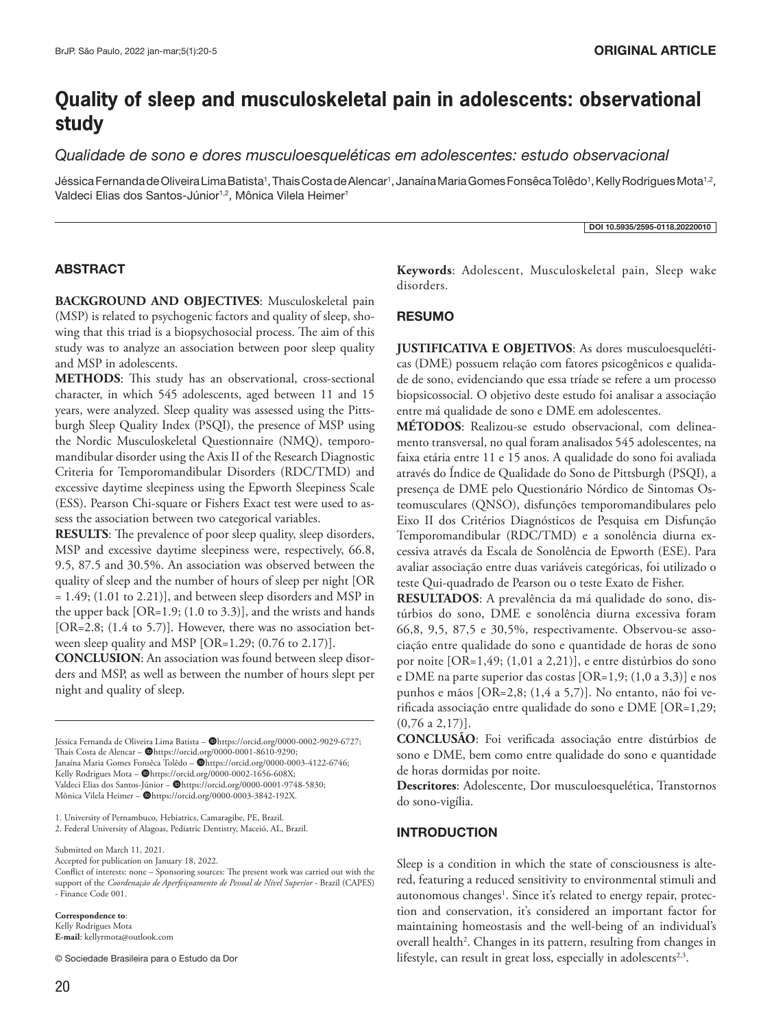# **Quality of sleep and musculoskeletal pain in adolescents: observational study**

*Qualidade de sono e dores musculoesqueléticas em adolescentes: estudo observacional*

Jéssica Fernanda de Oliveira Lima Batista<sup>1</sup>, Thais Costa de Alencar<sup>1</sup>, Janaína Maria Gomes Fonsêca Tolêdo<sup>1</sup>, Kelly Rodrigues Mota<sup>1,2</sup>, Valdeci Elias dos Santos-Júnior<sup>1,2</sup>, Mônica Vilela Heimer<sup>1</sup>

DOI 10.5935/2595-0118.20220010

# ABSTRACT

**BACKGROUND AND OBJECTIVES**: Musculoskeletal pain (MSP) is related to psychogenic factors and quality of sleep, showing that this triad is a biopsychosocial process. The aim of this study was to analyze an association between poor sleep quality and MSP in adolescents.

**METHODS**: This study has an observational, cross-sectional character, in which 545 adolescents, aged between 11 and 15 years, were analyzed. Sleep quality was assessed using the Pittsburgh Sleep Quality Index (PSQI), the presence of MSP using the Nordic Musculoskeletal Questionnaire (NMQ), temporomandibular disorder using the Axis II of the Research Diagnostic Criteria for Temporomandibular Disorders (RDC/TMD) and excessive daytime sleepiness using the Epworth Sleepiness Scale (ESS). Pearson Chi-square or Fishers Exact test were used to assess the association between two categorical variables.

**RESULTS**: The prevalence of poor sleep quality, sleep disorders, MSP and excessive daytime sleepiness were, respectively, 66.8, 9.5, 87.5 and 30.5%. An association was observed between the quality of sleep and the number of hours of sleep per night [OR = 1.49; (1.01 to 2.21)], and between sleep disorders and MSP in the upper back [OR=1.9; (1.0 to 3.3)], and the wrists and hands [OR=2.8; (1.4 to 5.7)]. However, there was no association between sleep quality and MSP [OR=1.29; (0.76 to 2.17)].

**CONCLUSION**: An association was found between sleep disorders and MSP, as well as between the number of hours slept per night and quality of sleep.

Jéssica Fernanda de Oliveira Lima Batista - @https://orcid.org/0000-0002-9029-6727; Thais Costa de Alencar - @https://orcid.org/0000-0001-8610-9290; Janaína Maria Gomes Fonsêca Tolêdo - @https://orcid.org/0000-0003-4122-6746; Kelly Rodrigues Mota - @https://orcid.org/0000-0002-1656-608X; Valdeci Elias dos Santos-Júnior - @https://orcid.org/0000-0001-9748-5830; Mônica Vilela Heimer - @https://orcid.org/0000-0003-3842-192X.

1. University of Pernambuco, Hebiatrics, Camaragibe, PE, Brazil.

2. Federal University of Alagoas, Pediatric Dentistry, Maceió, AL, Brazil.

Submitted on March 11, 2021.

Accepted for publication on January 18, 2022.

Conflict of interests: none – Sponsoring sources: The present work was carried out with the support of the *Coordenação de Aperfeiçoamento de Pessoal de Nível Superior* - Brazil (CAPES) - Finance Code 001.

**Correspondence to**: Kelly Rodrigues Mota **E-mail**: kellyrmota@outlook.com

© Sociedade Brasileira para o Estudo da Dor

**Keywords**: Adolescent, Musculoskeletal pain, Sleep wake disorders.

### **RESUMO**

**JUSTIFICATIVA E OBJETIVOS**: As dores musculoesqueléticas (DME) possuem relação com fatores psicogênicos e qualidade de sono, evidenciando que essa tríade se refere a um processo biopsicossocial. O objetivo deste estudo foi analisar a associação entre má qualidade de sono e DME em adolescentes.

**MÉTODOS**: Realizou-se estudo observacional, com delineamento transversal, no qual foram analisados 545 adolescentes, na faixa etária entre 11 e 15 anos. A qualidade do sono foi avaliada através do Índice de Qualidade do Sono de Pittsburgh (PSQI), a presença de DME pelo Questionário Nórdico de Sintomas Osteomusculares (QNSO), disfunções temporomandibulares pelo Eixo II dos Critérios Diagnósticos de Pesquisa em Disfunção Temporomandibular (RDC/TMD) e a sonolência diurna excessiva através da Escala de Sonolência de Epworth (ESE). Para avaliar associação entre duas variáveis categóricas, foi utilizado o teste Qui-quadrado de Pearson ou o teste Exato de Fisher.

**RESULTADOS**: A prevalência da má qualidade do sono, distúrbios do sono, DME e sonolência diurna excessiva foram 66,8, 9,5, 87,5 e 30,5%, respectivamente. Observou-se associação entre qualidade do sono e quantidade de horas de sono por noite [OR=1,49; (1,01 a 2,21)], e entre distúrbios do sono e DME na parte superior das costas [OR=1,9; (1,0 a 3,3)] e nos punhos e mãos [OR=2,8; (1,4 a 5,7)]. No entanto, não foi verificada associação entre qualidade do sono e DME [OR=1,29; (0,76 a 2,17)].

**CONCLUSÃO**: Foi verificada associação entre distúrbios de sono e DME, bem como entre qualidade do sono e quantidade de horas dormidas por noite.

**Descritores**: Adolescente, Dor musculoesquelética, Transtornos do sono-vigília.

#### INTRODUCTION

Sleep is a condition in which the state of consciousness is altered, featuring a reduced sensitivity to environmental stimuli and autonomous changes<sup>1</sup>. Since it's related to energy repair, protection and conservation, it's considered an important factor for maintaining homeostasis and the well-being of an individual's overall health<sup>2</sup>. Changes in its pattern, resulting from changes in lifestyle, can result in great loss, especially in adolescents<sup>2,3</sup>.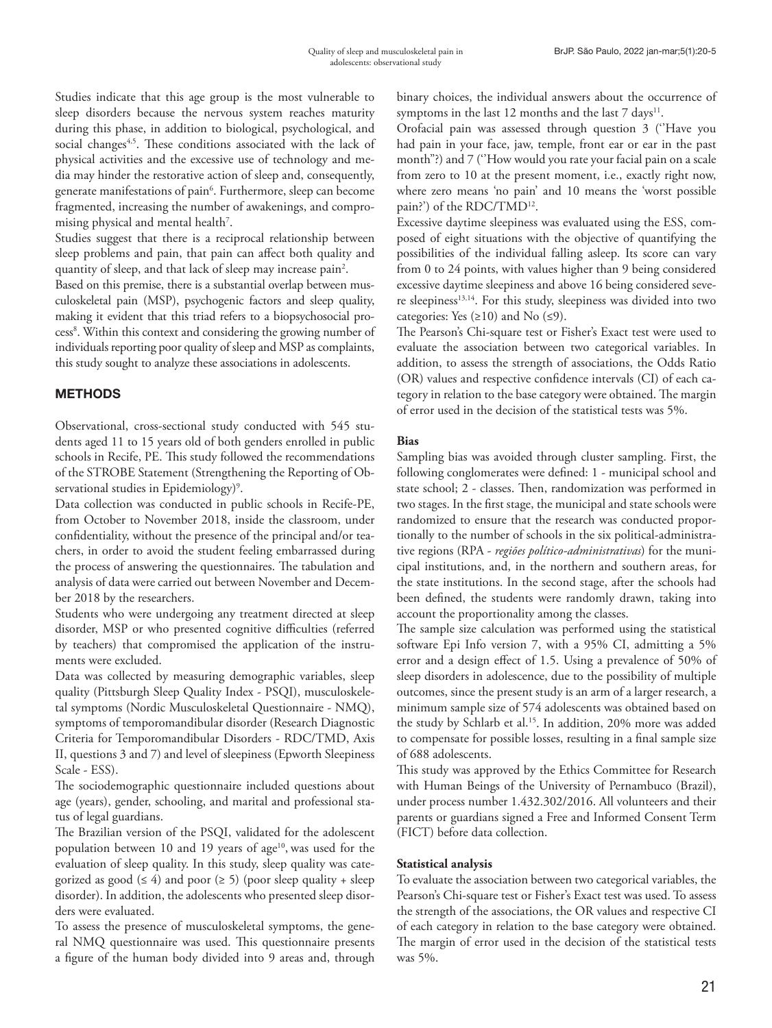Studies indicate that this age group is the most vulnerable to sleep disorders because the nervous system reaches maturity during this phase, in addition to biological, psychological, and social changes<sup>4,5</sup>. These conditions associated with the lack of physical activities and the excessive use of technology and media may hinder the restorative action of sleep and, consequently, generate manifestations of pain<sup>6</sup>. Furthermore, sleep can become fragmented, increasing the number of awakenings, and compromising physical and mental health<sup>7</sup>.

Studies suggest that there is a reciprocal relationship between sleep problems and pain, that pain can affect both quality and quantity of sleep, and that lack of sleep may increase pain<sup>2</sup>.

Based on this premise, there is a substantial overlap between musculoskeletal pain (MSP), psychogenic factors and sleep quality, making it evident that this triad refers to a biopsychosocial process<sup>8</sup>. Within this context and considering the growing number of individuals reporting poor quality of sleep and MSP as complaints, this study sought to analyze these associations in adolescents.

# **METHODS**

Observational, cross-sectional study conducted with 545 students aged 11 to 15 years old of both genders enrolled in public schools in Recife, PE. This study followed the recommendations of the STROBE Statement (Strengthening the Reporting of Observational studies in Epidemiology)<sup>9</sup>.

Data collection was conducted in public schools in Recife-PE, from October to November 2018, inside the classroom, under confidentiality, without the presence of the principal and/or teachers, in order to avoid the student feeling embarrassed during the process of answering the questionnaires. The tabulation and analysis of data were carried out between November and December 2018 by the researchers.

Students who were undergoing any treatment directed at sleep disorder, MSP or who presented cognitive difficulties (referred by teachers) that compromised the application of the instruments were excluded.

Data was collected by measuring demographic variables, sleep quality (Pittsburgh Sleep Quality Index - PSQI), musculoskeletal symptoms (Nordic Musculoskeletal Questionnaire - NMQ), symptoms of temporomandibular disorder (Research Diagnostic Criteria for Temporomandibular Disorders - RDC/TMD, Axis II, questions 3 and 7) and level of sleepiness (Epworth Sleepiness Scale - ESS).

The sociodemographic questionnaire included questions about age (years), gender, schooling, and marital and professional status of legal guardians.

The Brazilian version of the PSQI, validated for the adolescent population between 10 and 19 years of  $age<sup>10</sup>$ , was used for the evaluation of sleep quality. In this study, sleep quality was categorized as good ( $\leq 4$ ) and poor ( $\geq 5$ ) (poor sleep quality + sleep disorder). In addition, the adolescents who presented sleep disorders were evaluated.

To assess the presence of musculoskeletal symptoms, the general NMQ questionnaire was used. This questionnaire presents a figure of the human body divided into 9 areas and, through binary choices, the individual answers about the occurrence of symptoms in the last 12 months and the last  $7 \text{ days}^{11}$ .

Orofacial pain was assessed through question 3 (''Have you had pain in your face, jaw, temple, front ear or ear in the past month"?) and 7 (''How would you rate your facial pain on a scale from zero to 10 at the present moment, i.e., exactly right now, where zero means 'no pain' and 10 means the 'worst possible pain?') of the RDC/TMD<sup>12</sup>.

Excessive daytime sleepiness was evaluated using the ESS, composed of eight situations with the objective of quantifying the possibilities of the individual falling asleep. Its score can vary from 0 to 24 points, with values higher than 9 being considered excessive daytime sleepiness and above 16 being considered severe sleepiness<sup>13,14</sup>. For this study, sleepiness was divided into two categories: Yes  $(\geq 10)$  and No  $(\leq 9)$ .

The Pearson's Chi-square test or Fisher's Exact test were used to evaluate the association between two categorical variables. In addition, to assess the strength of associations, the Odds Ratio (OR) values and respective confidence intervals (CI) of each category in relation to the base category were obtained. The margin of error used in the decision of the statistical tests was 5%.

### **Bias**

Sampling bias was avoided through cluster sampling. First, the following conglomerates were defined: 1 - municipal school and state school; 2 - classes. Then, randomization was performed in two stages. In the first stage, the municipal and state schools were randomized to ensure that the research was conducted proportionally to the number of schools in the six political-administrative regions (RPA - *regiões político-administrativas*) for the municipal institutions, and, in the northern and southern areas, for the state institutions. In the second stage, after the schools had been defined, the students were randomly drawn, taking into account the proportionality among the classes.

The sample size calculation was performed using the statistical software Epi Info version 7, with a 95% CI, admitting a 5% error and a design effect of 1.5. Using a prevalence of 50% of sleep disorders in adolescence, due to the possibility of multiple outcomes, since the present study is an arm of a larger research, a minimum sample size of 574 adolescents was obtained based on the study by Schlarb et al.<sup>15</sup>. In addition, 20% more was added to compensate for possible losses, resulting in a final sample size of 688 adolescents.

This study was approved by the Ethics Committee for Research with Human Beings of the University of Pernambuco (Brazil), under process number 1.432.302/2016. All volunteers and their parents or guardians signed a Free and Informed Consent Term (FICT) before data collection.

### **Statistical analysis**

To evaluate the association between two categorical variables, the Pearson's Chi-square test or Fisher's Exact test was used. To assess the strength of the associations, the OR values and respective CI of each category in relation to the base category were obtained. The margin of error used in the decision of the statistical tests was 5%.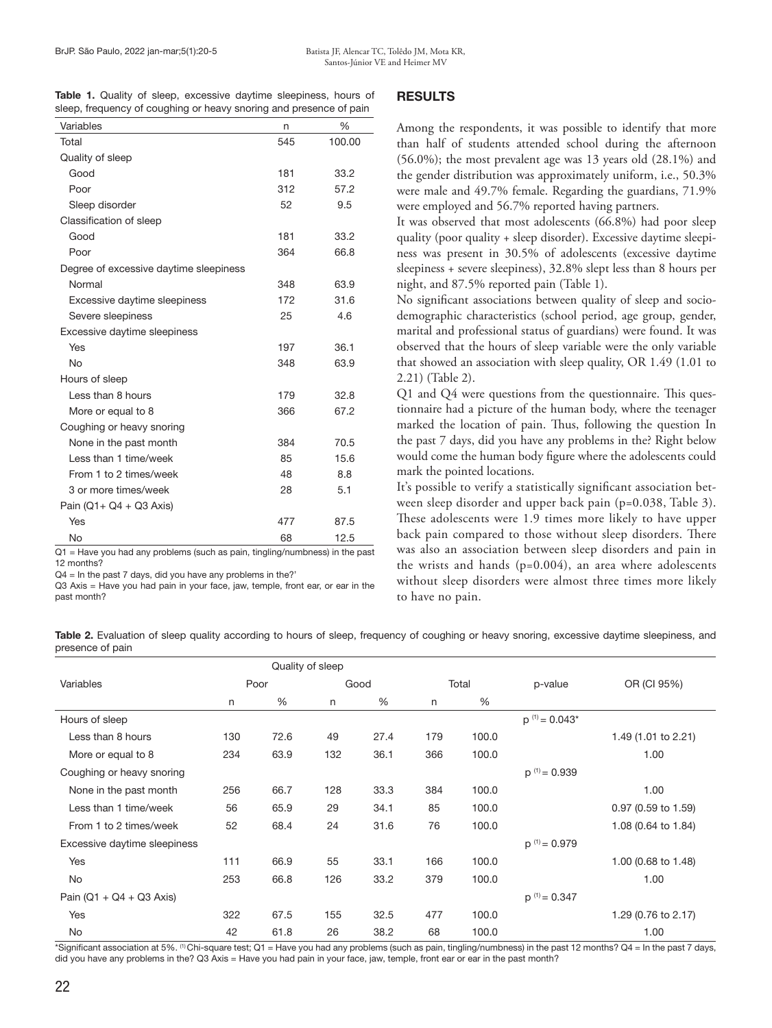|  |  |  |  | Table 1. Quality of sleep, excessive daytime sleepiness, hours of  |  |
|--|--|--|--|--------------------------------------------------------------------|--|
|  |  |  |  | sleep, frequency of coughing or heavy snoring and presence of pain |  |

| Variables                               | n   | %      |
|-----------------------------------------|-----|--------|
| Total                                   | 545 | 100.00 |
| Quality of sleep                        |     |        |
| Good                                    | 181 | 33.2   |
| Poor                                    | 312 | 57.2   |
| Sleep disorder                          | 52  | 9.5    |
| Classification of sleep                 |     |        |
| Good                                    | 181 | 33.2   |
| Poor                                    | 364 | 66.8   |
| Degree of excessive daytime sleepiness  |     |        |
| Normal                                  | 348 | 63.9   |
| Excessive daytime sleepiness            | 172 | 31.6   |
| Severe sleepiness                       | 25  | 4.6    |
| Excessive daytime sleepiness            |     |        |
| Yes                                     | 197 | 36.1   |
| <b>No</b>                               | 348 | 63.9   |
| Hours of sleep                          |     |        |
| Less than 8 hours                       | 179 | 32.8   |
| More or equal to 8                      | 366 | 67.2   |
| Coughing or heavy snoring               |     |        |
| None in the past month                  | 384 | 70.5   |
| Less than 1 time/week                   | 85  | 15.6   |
| From 1 to 2 times/week                  | 48  | 8.8    |
| 3 or more times/week                    | 28  | 5.1    |
| Pain ( $Q1 + Q4 + Q3$ Axis)             |     |        |
| Yes                                     | 477 | 87.5   |
| No<br><b>Contract Contract Contract</b> | 68  | 12.5   |

Q1 = Have you had any problems (such as pain, tingling/numbness) in the past 12 months?

Q4 = In the past 7 days, did you have any problems in the?'

Q3 Axis = Have you had pain in your face, jaw, temple, front ear, or ear in the past month?

### RESULTS

Among the respondents, it was possible to identify that more than half of students attended school during the afternoon (56.0%); the most prevalent age was 13 years old (28.1%) and the gender distribution was approximately uniform, i.e., 50.3% were male and 49.7% female. Regarding the guardians, 71.9% were employed and 56.7% reported having partners.

It was observed that most adolescents (66.8%) had poor sleep quality (poor quality + sleep disorder). Excessive daytime sleepiness was present in 30.5% of adolescents (excessive daytime sleepiness + severe sleepiness), 32.8% slept less than 8 hours per night, and 87.5% reported pain (Table 1).

No significant associations between quality of sleep and sociodemographic characteristics (school period, age group, gender, marital and professional status of guardians) were found. It was observed that the hours of sleep variable were the only variable that showed an association with sleep quality, OR 1.49 (1.01 to 2.21) (Table 2).

Q1 and Q4 were questions from the questionnaire. This questionnaire had a picture of the human body, where the teenager marked the location of pain. Thus, following the question In the past 7 days, did you have any problems in the? Right below would come the human body figure where the adolescents could mark the pointed locations.

It's possible to verify a statistically significant association between sleep disorder and upper back pain (p=0.038, Table 3). These adolescents were 1.9 times more likely to have upper back pain compared to those without sleep disorders. There was also an association between sleep disorders and pain in the wrists and hands  $(p=0.004)$ , an area where adolescents without sleep disorders were almost three times more likely to have no pain.

Table 2. Evaluation of sleep quality according to hours of sleep, frequency of coughing or heavy snoring, excessive daytime sleepiness, and presence of pain

|                              | Quality of sleep |      |      |      |       |       |                    |                     |
|------------------------------|------------------|------|------|------|-------|-------|--------------------|---------------------|
| Variables                    | Poor             |      | Good |      | Total |       | p-value            | OR (CI 95%)         |
|                              | n                | %    | n    | %    | n     | %     |                    |                     |
| Hours of sleep               |                  |      |      |      |       |       | $p^{(1)} = 0.043*$ |                     |
| Less than 8 hours            | 130              | 72.6 | 49   | 27.4 | 179   | 100.0 |                    | 1.49 (1.01 to 2.21) |
| More or equal to 8           | 234              | 63.9 | 132  | 36.1 | 366   | 100.0 |                    | 1.00                |
| Coughing or heavy snoring    |                  |      |      |      |       |       | $p^{(1)} = 0.939$  |                     |
| None in the past month       | 256              | 66.7 | 128  | 33.3 | 384   | 100.0 |                    | 1.00                |
| Less than 1 time/week        | 56               | 65.9 | 29   | 34.1 | 85    | 100.0 |                    | 0.97 (0.59 to 1.59) |
| From 1 to 2 times/week       | 52               | 68.4 | 24   | 31.6 | 76    | 100.0 |                    | 1.08 (0.64 to 1.84) |
| Excessive daytime sleepiness |                  |      |      |      |       |       | $p^{(1)} = 0.979$  |                     |
| Yes                          | 111              | 66.9 | 55   | 33.1 | 166   | 100.0 |                    | 1.00 (0.68 to 1.48) |
| No                           | 253              | 66.8 | 126  | 33.2 | 379   | 100.0 |                    | 1.00                |
| Pain ( $Q1 + Q4 + Q3$ Axis)  |                  |      |      |      |       |       | $p^{(1)} = 0.347$  |                     |
| Yes                          | 322              | 67.5 | 155  | 32.5 | 477   | 100.0 |                    | 1.29 (0.76 to 2.17) |
| No                           | 42               | 61.8 | 26   | 38.2 | 68    | 100.0 |                    | 1.00                |

\*Significant association at 5%. <sup>(1)</sup> Chi-square test; Q1 = Have you had any problems (such as pain, tingling/numbness) in the past 12 months? Q4 = In the past 7 days, did you have any problems in the? Q3 Axis = Have you had pain in your face, jaw, temple, front ear or ear in the past month?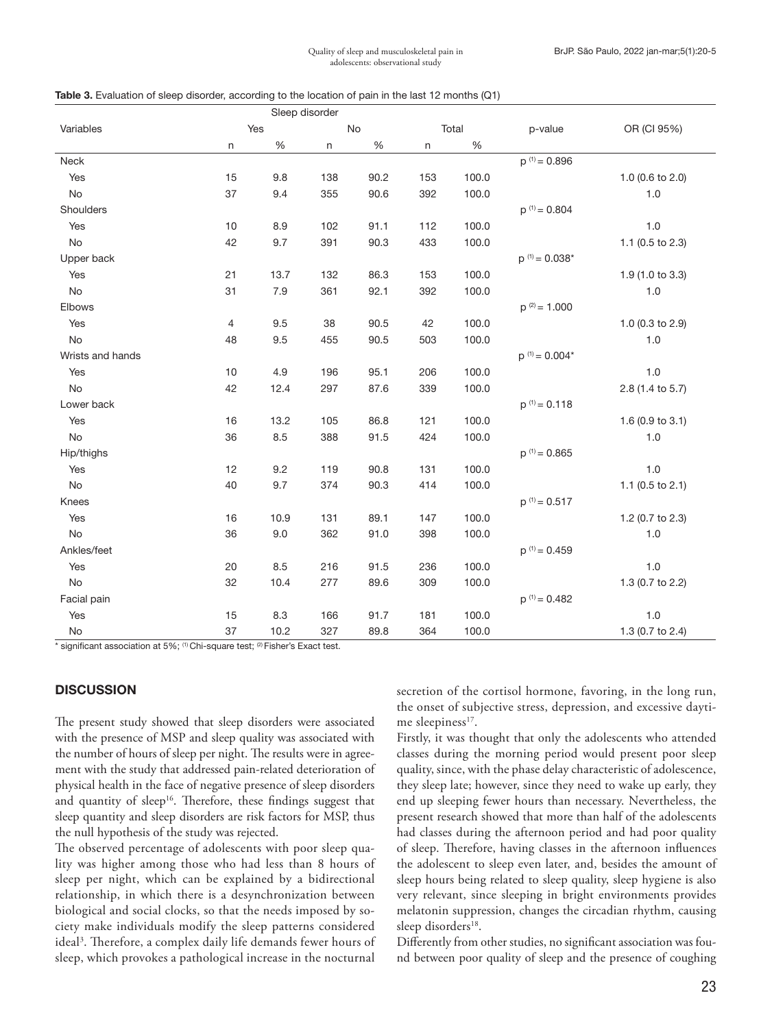|  |  |  |  | <b>Table 3.</b> Evaluation of sleep disorder, according to the location of pain in the last 12 months (Q1) |  |  |  |
|--|--|--|--|------------------------------------------------------------------------------------------------------------|--|--|--|
|--|--|--|--|------------------------------------------------------------------------------------------------------------|--|--|--|

|                  |                | Sleep disorder |     |      |         |       |                    |                  |
|------------------|----------------|----------------|-----|------|---------|-------|--------------------|------------------|
| Variables        | Yes            |                | No  |      | Total   |       | p-value            | OR (CI 95%)      |
|                  | $\sf n$        | $\%$           | n   | $\%$ | $\sf n$ | $\%$  |                    |                  |
| Neck             |                |                |     |      |         |       | $p^{(1)} = 0.896$  |                  |
| Yes              | 15             | 9.8            | 138 | 90.2 | 153     | 100.0 |                    | 1.0 (0.6 to 2.0) |
| No               | 37             | 9.4            | 355 | 90.6 | 392     | 100.0 |                    | 1.0              |
| Shoulders        |                |                |     |      |         |       | $p^{(1)} = 0.804$  |                  |
| Yes              | $10$           | 8.9            | 102 | 91.1 | 112     | 100.0 |                    | $1.0$            |
| No               | 42             | 9.7            | 391 | 90.3 | 433     | 100.0 |                    | 1.1 (0.5 to 2.3) |
| Upper back       |                |                |     |      |         |       | $p^{(1)} = 0.038*$ |                  |
| Yes              | 21             | 13.7           | 132 | 86.3 | 153     | 100.0 |                    | 1.9 (1.0 to 3.3) |
| No               | 31             | 7.9            | 361 | 92.1 | 392     | 100.0 |                    | 1.0              |
| Elbows           |                |                |     |      |         |       | $p^{(2)} = 1.000$  |                  |
| Yes              | $\overline{4}$ | 9.5            | 38  | 90.5 | 42      | 100.0 |                    | 1.0 (0.3 to 2.9) |
| No               | 48             | 9.5            | 455 | 90.5 | 503     | 100.0 |                    | 1.0              |
| Wrists and hands |                |                |     |      |         |       | $p^{(1)} = 0.004*$ |                  |
| Yes              | 10             | 4.9            | 196 | 95.1 | 206     | 100.0 |                    | 1.0              |
| No               | 42             | 12.4           | 297 | 87.6 | 339     | 100.0 |                    | 2.8 (1.4 to 5.7) |
| Lower back       |                |                |     |      |         |       | $p^{(1)} = 0.118$  |                  |
| Yes              | 16             | 13.2           | 105 | 86.8 | 121     | 100.0 |                    | 1.6 (0.9 to 3.1) |
| No               | 36             | 8.5            | 388 | 91.5 | 424     | 100.0 |                    | 1.0              |
| Hip/thighs       |                |                |     |      |         |       | $p^{(1)} = 0.865$  |                  |
| Yes              | 12             | 9.2            | 119 | 90.8 | 131     | 100.0 |                    | $1.0$            |
| No               | 40             | 9.7            | 374 | 90.3 | 414     | 100.0 |                    | 1.1 (0.5 to 2.1) |
| Knees            |                |                |     |      |         |       | $p^{(1)} = 0.517$  |                  |
| Yes              | 16             | 10.9           | 131 | 89.1 | 147     | 100.0 |                    | 1.2 (0.7 to 2.3) |
| No               | 36             | 9.0            | 362 | 91.0 | 398     | 100.0 |                    | 1.0              |
| Ankles/feet      |                |                |     |      |         |       | $p^{(1)} = 0.459$  |                  |
| Yes              | 20             | 8.5            | 216 | 91.5 | 236     | 100.0 |                    | 1.0              |
| No               | 32             | 10.4           | 277 | 89.6 | 309     | 100.0 |                    | 1.3 (0.7 to 2.2) |
| Facial pain      |                |                |     |      |         |       | $p^{(1)} = 0.482$  |                  |
| Yes              | 15             | 8.3            | 166 | 91.7 | 181     | 100.0 |                    | 1.0              |
| No               | 37             | 10.2           | 327 | 89.8 | 364     | 100.0 |                    | 1.3 (0.7 to 2.4) |

 $*$  significant association at 5%; <sup>(1)</sup> Chi-square test; <sup>(2)</sup> Fisher's Exact test.

### **DISCUSSION**

The present study showed that sleep disorders were associated with the presence of MSP and sleep quality was associated with the number of hours of sleep per night. The results were in agreement with the study that addressed pain-related deterioration of physical health in the face of negative presence of sleep disorders and quantity of sleep<sup>16</sup>. Therefore, these findings suggest that sleep quantity and sleep disorders are risk factors for MSP, thus the null hypothesis of the study was rejected.

The observed percentage of adolescents with poor sleep quality was higher among those who had less than 8 hours of sleep per night, which can be explained by a bidirectional relationship, in which there is a desynchronization between biological and social clocks, so that the needs imposed by society make individuals modify the sleep patterns considered ideal<sup>3</sup>. Therefore, a complex daily life demands fewer hours of sleep, which provokes a pathological increase in the nocturnal

secretion of the cortisol hormone, favoring, in the long run, the onset of subjective stress, depression, and excessive daytime sleepiness<sup>17</sup>.

Firstly, it was thought that only the adolescents who attended classes during the morning period would present poor sleep quality, since, with the phase delay characteristic of adolescence, they sleep late; however, since they need to wake up early, they end up sleeping fewer hours than necessary. Nevertheless, the present research showed that more than half of the adolescents had classes during the afternoon period and had poor quality of sleep. Therefore, having classes in the afternoon influences the adolescent to sleep even later, and, besides the amount of sleep hours being related to sleep quality, sleep hygiene is also very relevant, since sleeping in bright environments provides melatonin suppression, changes the circadian rhythm, causing sleep disorders<sup>18</sup>.

Differently from other studies, no significant association was found between poor quality of sleep and the presence of coughing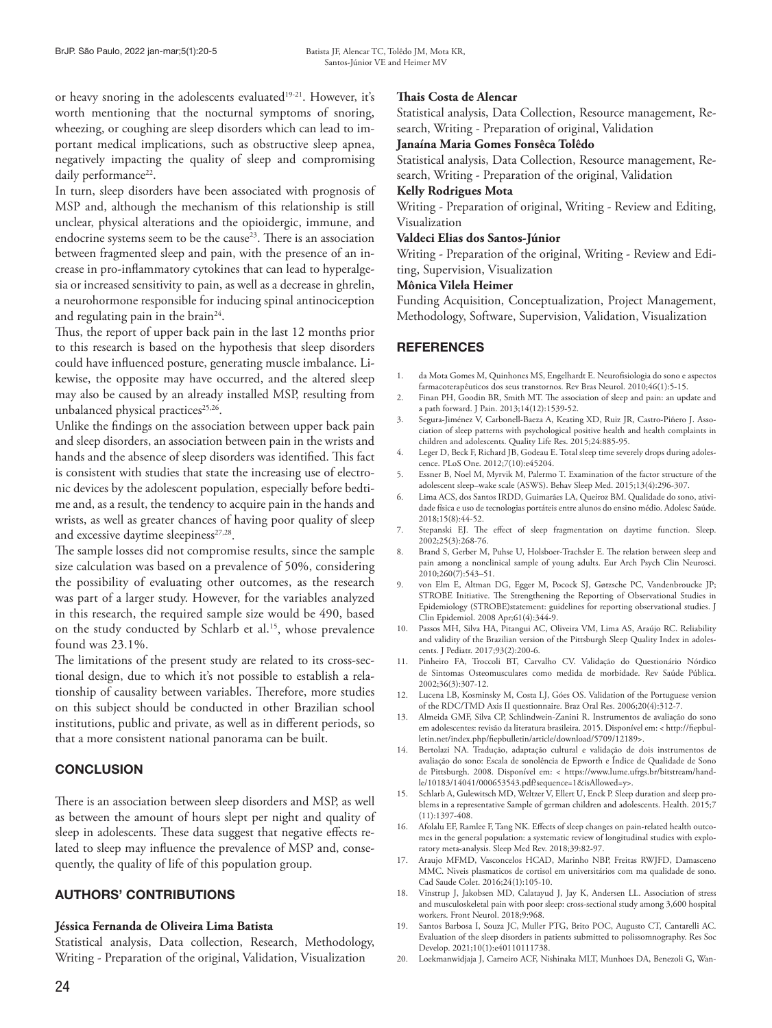or heavy snoring in the adolescents evaluated<sup>19-21</sup>. However, it's worth mentioning that the nocturnal symptoms of snoring, wheezing, or coughing are sleep disorders which can lead to important medical implications, such as obstructive sleep apnea, negatively impacting the quality of sleep and compromising daily performance<sup>22</sup>.

In turn, sleep disorders have been associated with prognosis of MSP and, although the mechanism of this relationship is still unclear, physical alterations and the opioidergic, immune, and endocrine systems seem to be the cause<sup>23</sup>. There is an association between fragmented sleep and pain, with the presence of an increase in pro-inflammatory cytokines that can lead to hyperalgesia or increased sensitivity to pain, as well as a decrease in ghrelin, a neurohormone responsible for inducing spinal antinociception and regulating pain in the brain $24$ .

Thus, the report of upper back pain in the last 12 months prior to this research is based on the hypothesis that sleep disorders could have influenced posture, generating muscle imbalance. Likewise, the opposite may have occurred, and the altered sleep may also be caused by an already installed MSP, resulting from unbalanced physical practices<sup>25,26</sup>.

Unlike the findings on the association between upper back pain and sleep disorders, an association between pain in the wrists and hands and the absence of sleep disorders was identified. This fact is consistent with studies that state the increasing use of electronic devices by the adolescent population, especially before bedtime and, as a result, the tendency to acquire pain in the hands and wrists, as well as greater chances of having poor quality of sleep and excessive daytime sleepiness<sup>27,28</sup>.

The sample losses did not compromise results, since the sample size calculation was based on a prevalence of 50%, considering the possibility of evaluating other outcomes, as the research was part of a larger study. However, for the variables analyzed in this research, the required sample size would be 490, based on the study conducted by Schlarb et al.<sup>15</sup>, whose prevalence found was 23.1%.

The limitations of the present study are related to its cross-sectional design, due to which it's not possible to establish a relationship of causality between variables. Therefore, more studies on this subject should be conducted in other Brazilian school institutions, public and private, as well as in different periods, so that a more consistent national panorama can be built.

# **CONCLUSION**

There is an association between sleep disorders and MSP, as well as between the amount of hours slept per night and quality of sleep in adolescents. These data suggest that negative effects related to sleep may influence the prevalence of MSP and, consequently, the quality of life of this population group.

# AUTHORS' CONTRIBUTIONS

### **Jéssica Fernanda de Oliveira Lima Batista**

Statistical analysis, Data collection, Research, Methodology, Writing - Preparation of the original, Validation, Visualization

### **Thais Costa de Alencar**

Statistical analysis, Data Collection, Resource management, Research, Writing - Preparation of original, Validation

### **Janaína Maria Gomes Fonsêca Tolêdo**

Statistical analysis, Data Collection, Resource management, Research, Writing - Preparation of the original, Validation

### **Kelly Rodrigues Mota**

Writing - Preparation of original, Writing - Review and Editing, Visualization

### **Valdeci Elias dos Santos-Júnior**

Writing - Preparation of the original, Writing - Review and Editing, Supervision, Visualization

#### **Mônica Vilela Heimer**

Funding Acquisition, Conceptualization, Project Management, Methodology, Software, Supervision, Validation, Visualization

# **REFERENCES**

- 1. da Mota Gomes M, Quinhones MS, Engelhardt E. Neurofisiologia do sono e aspectos farmacoterapêuticos dos seus transtornos. Rev Bras Neurol. 2010;46(1):5-15.
- 2. Finan PH, Goodin BR, Smith MT. The association of sleep and pain: an update and a path forward. J Pain. 2013;14(12):1539-52.
- 3. Segura-Jiménez V, Carbonell-Baeza A, Keating XD, Ruiz JR, Castro-Piñero J. Association of sleep patterns with psychological positive health and health complaints in children and adolescents. Quality Life Res. 2015;24:885-95.
- 4. Leger D, Beck F, Richard JB, Godeau E. Total sleep time severely drops during adolescence. PLoS One. 2012;7(10):e45204.
- 5. Essner B, Noel M, Myrvik M, Palermo T. Examination of the factor structure of the adolescent sleep–wake scale (ASWS). Behav Sleep Med. 2015;13(4):296-307.
- 6. Lima ACS, dos Santos IRDD, Guimarães LA, Queiroz BM. Qualidade do sono, atividade física e uso de tecnologias portáteis entre alunos do ensino médio. Adolesc Saúde. 2018;15(8):44-52.
- 7. Stepanski EJ. The effect of sleep fragmentation on daytime function. Sleep. 2002;25(3):268-76.
- 8. Brand S, Gerber M, Puhse U, Holsboer-Trachsler E. The relation between sleep and pain among a nonclinical sample of young adults. Eur Arch Psych Clin Neurosci.  $2010:260(7):543-51.$
- 9. von Elm E, Altman DG, Egger M, Pocock SJ, Gøtzsche PC, Vandenbroucke JP; STROBE Initiative. The Strengthening the Reporting of Observational Studies in Epidemiology (STROBE)statement: guidelines for reporting observational studies. J Clin Epidemiol. 2008 Apr;61(4):344-9.
- 10. Passos MH, Silva HA, Pitangui AC, Oliveira VM, Lima AS, Araújo RC. Reliability and validity of the Brazilian version of the Pittsburgh Sleep Quality Index in adolescents. J Pediatr. 2017;93(2):200-6.
- 11. Pinheiro FA, Troccoli BT, Carvalho CV. Validação do Questionário Nórdico de Sintomas Osteomusculares como medida de morbidade. Rev Saúde Pública. 2002;36(3):307-12.
- 12. Lucena LB, Kosminsky M, Costa LJ, Góes OS. Validation of the Portuguese version of the RDC/TMD Axis II questionnaire. Braz Oral Res. 2006;20(4):312-7.
- 13. Almeida GMF, Silva CP, Schlindwein-Zanini R. Instrumentos de avaliação do sono em adolescentes: revisão da literatura brasileira. 2015. Disponível em: < http://fiepbulletin.net/index.php/fiepbulletin/article/download/5709/12189>.
- 14. Bertolazi NA. Tradução, adaptação cultural e validação de dois instrumentos de avaliação do sono: Escala de sonolência de Epworth e Índice de Qualidade de Sono de Pittsburgh. 2008. Disponível em: < https://www.lume.ufrgs.br/bitstream/handle/10183/14041/000653543.pdf?sequence=1&isAllowed=y>.
- 15. Schlarb A, Gulewitsch MD, Weltzer V, Ellert U, Enck P. Sleep duration and sleep problems in a representative Sample of german children and adolescents. Health. 2015;7 (11):1397-408.
- 16. Afolalu EF, Ramlee F, Tang NK. Effects of sleep changes on pain-related health outcomes in the general population: a systematic review of longitudinal studies with exploratory meta-analysis. Sleep Med Rev. 2018;39:82-97.
- 17. Araujo MFMD, Vasconcelos HCAD, Marinho NBP, Freitas RWJFD, Damasceno MMC. Niveis plasmaticos de cortisol em universitários com ma qualidade de sono. Cad Saude Colet. 2016;24(1):105-10.
- 18. Vinstrup J, Jakobsen MD, Calatayud J, Jay K, Andersen LL. Association of stress and musculoskeletal pain with poor sleep: cross-sectional study among 3,600 hospital workers. Front Neurol. 2018;9:968.
- 19. Santos Barbosa I, Souza JC, Muller PTG, Brito POC, Augusto CT, Cantarelli AC. Evaluation of the sleep disorders in patients submitted to polissomnography. Res Soc Develop. 2021;10(1):e40110111738.
- 20. Loekmanwidjaja J, Carneiro ACF, Nishinaka MLT, Munhoes DA, Benezoli G, Wan-